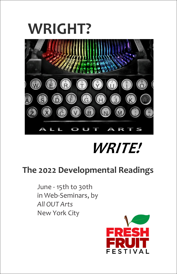# **WRIGHT?**



# *WRITE!*

# **The 2022 Developmental Readings**

June - 15th to 30th in Web-Seminars, by *All OUT Arts* New York City

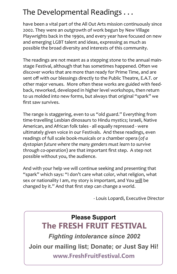## The Developmental Readings . . .

have been a vital part of the All Out Arts mission continuously since 2002. They were an outgrowth of work begun by New Village Playwrights back in the 1990s, and every year have focused on new and emerging LGBT talent and ideas, expressing as much as possible the broad diversity and interests of this community.

The readings are not meant as a stepping stone to the annual mainstage Festival, although that has sometimes happened. Often we discover works that are more than ready for Prime Time, and are sent off with our blessings directly to the Public Theatre, E.A.T. or other major venues. More often these works are guided with feedback, reworked, developed in higher level workshops, then return to us molded into new forms, but always that original "spark" we first saw survives.

The range is staggering, even to us "old guard." Everything from time-travelling Lesbian dinosaurs to Hindu mystics; Israeli, Native American, and African folk tales - all equally repressed - were ultimately given voice in our Festivals. And these readings, even readings of full scale book-musicals or a chamber opera (*of a dystopian future where the many genders must learn to survive through co-operation*) are that important first step. A step not possible without you, the audience.

And with your help we will continue seeking and presenting that "spark" which says: "I don't care what color, what religion, what sex or nationality I am, my story is important, and You will be changed by it." And that first step can change a world.

- Louis Lopardi, Executive Director

## **Please Support The FRESH FRUIT FESTIVAL**

*Fighting intolerance since 2002*

**Join our mailing list; Donate; or Just Say Hi!**

**www.FreshFruitFestival.Com**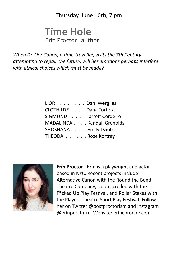Thursday, June 16th, 7 pm

## **Time Hole** Erin Proctor | author

*When Dr. Lior Cohen, a time-traveller, visits the 7th Century* attempting to repair the future, will her emotions perhaps interfere *with ethical choices which must be made?*

| LIOR Dani Wergiles         |  |
|----------------------------|--|
| CLOTHILDE Dana Tortora     |  |
| SIGMUND Jarrett Cordeiro   |  |
| MADALINDA Kendall Grenolds |  |
| SHOSHANA Emily Dziob       |  |
| THEODA Rose Kortrey        |  |



**Erin Proctor** - Erin is a playwright and actor based in NYC. Recent projects include: Alternative Canon with the Round the Bend Theatre Company, Doomscrolled with the F\*cked Up Play Festival, and Roller Stakes with the Players Theatre Short Play Festival. Follow her on Twitter @postproctorism and Instagram @erinproctorrr. Website: erincproctor.com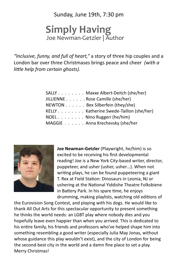Sunday, June 19th, 7:30 pm

## **Simply Having** Joe Newman-Getzler | Author

*"Inclusive, funny, and full of heart,"* a story of three hip couples and a London bar over three Christmases brings peace and cheer *(with a lile help from certain ghosts).*

| SALLY Maxxe Albert-Deitch (she/her)     |
|-----------------------------------------|
| JILLIENNE Rose Camille (she/her)        |
| NEWTON Bex Silberfein (they/she)        |
| KELLY Katherine Swede-Taillon (she/her) |
| NOEL Nino Ruggeri (he/him)              |
| MAGGIE Anna Krechevsky (she/her         |



**Joe Newman-Getzler** (Playwright, he/him) is so excited to be receiving his first developmental reading! Joe is a New York City-based writer, director, puppeteer, and usher (usher, usher…). When not writing plays, he can be found puppeteering a giant T. Rex at Field Station: Dinosaurs in Leonia, NJ or ushering at the National Yiddishe Theatre Folksbiene in Battery Park. In his spare time, he enjoys drumming, making playlists, watching old editions of

the Eurovision Song Contest, and playing with his dogs. He would like to thank All Out Arts for this spectacular opportunity to present something he thinks the world needs: an LGBT play where nobody dies and you hopefully leave even happier than when you arrived. This is dedicated to his entire family, his friends and professors who've helped shape him into something resembling a good writer (especially Julia May Jonas, without whose guidance this play wouldn't exist), and the city of London for being the second-best city in the world and a damn fine place to set a play. Merry Christmas!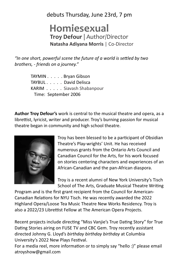debuts Thursday, June 23rd, 7 pm

## **Homiesexual Troy Defour** | Author/Director **Natasha Adiyana Morris** | Co-Director

"In one short, powerful scene the future of a world is settled by two *brothers, - friends on a journey."*

> TAYMIN . . . . . Bryan Gibson KARIM . . . . . Siavash Shabanpour Time: September 2006 TAYBUL . . . . . David Delisca

**Author Troy Defour's** work is central to the musical theatre and opera, as a librettist, lyricist, writer and producer. Troy's burning passion for musical theatre began in community and high school theatre.



Troy has been blessed to be a participant of Obsidian Theatre's Play-wrights' Unit. He has received numerous grants from the Ontario Arts Council and Canadian Council for the Arts, for his work focused on stories centering characters and experiences of an African-Canadian and the pan-African diaspora.

Troy is a recent alumni of New York University's Tisch School of The Arts, Graduate Musical Theatre Writing

Program and is the first grant recipient from the Council for American-Canadian Relations for NYU Tisch. He was recently awarded the 2022 Highland Opera/Loose Tea Music Theatre New Works Residency. Troy is also a 2022/23 Librettist Fellow at The American Opera Projects.

Recent projects include directing "Miss Vanjie's True Dating Story" for True Dating Stories airing on FUSE TV and CBC Gem. Troy recently assistant directed Johnny G. Lloyd's *birthday birthday birthday* at Columbia University's 2022 New Plays Festival.

For a media reel, more information or to simply say "hello :)" please email atroyshow@gmail.com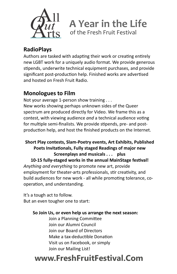

**A Year in the Life** of the Fresh Fruit Festival

## **RadioPlays**

Authors are tasked with adapting their work or creating entirely new LGBT work for a uniquely audio format. We provide generous stipends, underwrite technical equipment purchases, and provide significant post-production help. Finished works are advertised and hosted on Fresh Fruit Radio.

## **Monologues to Film**

Not your average 1-person show training . . . New works showing perhaps unknown sides of the Queer spectrum are produced directly for Video. We frame this as a contest, with viewing audience *and* a technical audience voting for multiple semi-finalists. We provide stipends, pre- and postproduction help, and host the finished products on the Internet.

### *Anything and everything* to promote new art, provide employment for theater-arts professionals, stir creativity, and build audiences for new work - all while promoting tolerance, cooperation, and understanding. 10-15 fully-staged works in the annual MainStage festival! **Short Play contests, Slam-Poetry events, Art Exhibits, Published**  Poets Invitationals, Fully staged Readings of major new **Screenplays and musicals . . . plus**

But an even tougher one to start: It's a tough act to follow.

#### **So Join Us, or even help us arrange the next season:**

Make a tax-deductible Donation Join our Mailing List! Visit us on Facebook, or simply Join our Alumni Council Join our Board of Directors Join a Planning Committee

# **www.FreshFruitFestival.Com**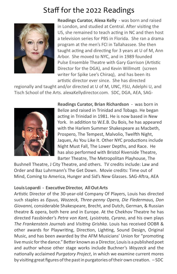## Staff for the 2022 Readings



**Readings Curator, Alexa Kelly** - was born and raised in London, and studied at Central. After visiting the US, she remained to teach acting in NC and then host a television series for PBS in Florida. She ran a drama program at the men's FCI in Tallahassee. She then taught acting and directing for 3 years at U of M, Ann Arbor. She moved to NYC, and in 1989 founded Pulse Ensemble Theatre with Gary Garrison (Artistic Director for the DGA), and Kevin Willmott (screen writer for Spike Lee's Chiraq), and has been its artistic director ever since. She has directed

regionally and taught and/or directed at U of M, UNC, FSU, Adelphi U, and Tisch School of the Arts. alexaKellydirector.com. SDC, DGA, AEA, SAG-



**Readings Curator, Brian Richardson** - was born in Belize and raised in Trinidad and Tobago. He began acting in Trinidad in 1981. He is now based in New York. In addition to W.E.B. Du Bois, he has appeared with the Harlem Summer Shakespeare as Macbeth, Prospero, The Tempest, Malvolio, Twelfth Night, Jaques, As You Like It. Other NYC productions include Night Must Fall, The Lower Depths, and Race. He has also performed with Bristol Riverside Theatre, Barter Theatre, The Metropolitan Playhouse, The

Bushnell Theatre, J City Theatre, and others. TV credits include: Law and Order and Baz Luhrmann's The Get Down. Movie credits: Time out of Mind, Coming to America, Hunger and Sid's New Glasses. SAG-Aftra, AEA

### **Louis Lopardi - Executive Director, All Out Arts**

Artistic Director of the 30-year-old Company Of Players, Louis has directed such staples as *Equus, Wozzeck, Three-penny Opera, Die Fledermaus, Don Giovanni,* considerable Shakespeare, Brecht, and Dutch, German, & Russian theatre & opera, both here and in Europe. At the Chekhov Theatre he has directed Fassbinder's *Petra von Kant, Lysistrata, Cyrano*, and his own plays *The Frankenstein Journals* and *Vising Grishka*. Louis has received OOBR & other awards for Playwriting, Direction, Lighting, Sound Design, Original Music, and has been awarded by the AFM Musicians' Union for "promoting" live music for the dance." Better known as a Director, Louis is a published poet and author whose other stage works include Buchner's *Woyzeck* and the nationally acclaimed *Purgatory Project*, in which we examine current mores by visiting great figures of the past in purgatories of their own creation.  $-SDC$